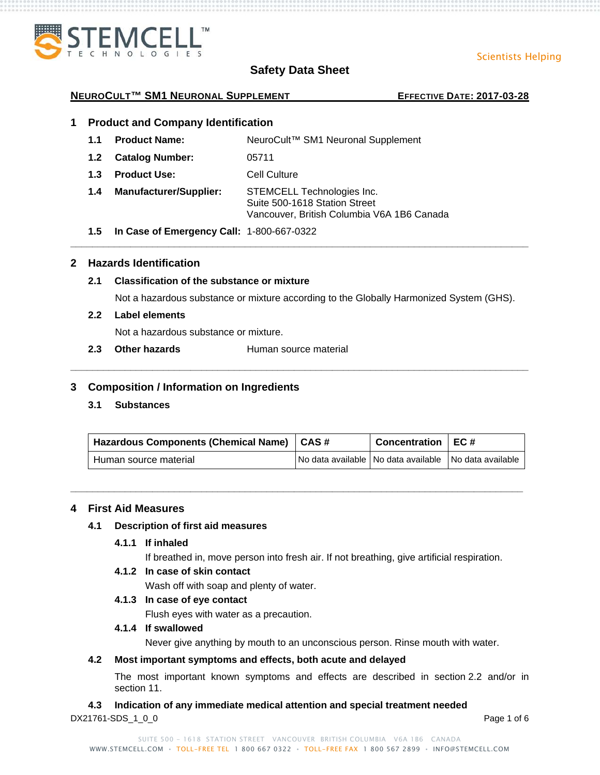

Scientists Helping

#### **NEUROCULT™ SM1 NEURONAL SUPPLEMENT EFFECTIVE DATE: 2017-03-28**

# **1 Product and Company Identification**

- **1.1 Product Name:** NeuroCult™ SM1 Neuronal Supplement
- **1.2 Catalog Number:** 05711
- **1.3 Product Use:** Cell Culture
- **1.4 Manufacturer/Supplier:** STEMCELL Technologies Inc. Suite 500-1618 Station Street Vancouver, British Columbia V6A 1B6 Canada
- **1.5 In Case of Emergency Call:** 1-800-667-0322

## **2 Hazards Identification**

#### **2.1 Classification of the substance or mixture**

Not a hazardous substance or mixture according to the Globally Harmonized System (GHS).

**\_\_\_\_\_\_\_\_\_\_\_\_\_\_\_\_\_\_\_\_\_\_\_\_\_\_\_\_\_\_\_\_\_\_\_\_\_\_\_\_\_\_\_\_\_\_\_\_\_\_\_\_\_\_\_\_\_\_\_\_\_\_\_\_\_\_\_\_\_\_\_\_\_\_\_\_\_\_\_\_\_\_\_\_**

#### **2.2 Label elements**

Not a hazardous substance or mixture.

**2.3 Other hazards** Human source material

## **3 Composition / Information on Ingredients**

**3.1 Substances**

| Hazardous Components (Chemical Name)   CAS # | Concentration $\vert$ EC #                            |  |
|----------------------------------------------|-------------------------------------------------------|--|
| Human source material                        | No data available No data available No data available |  |

**\_\_\_\_\_\_\_\_\_\_\_\_\_\_\_\_\_\_\_\_\_\_\_\_\_\_\_\_\_\_\_\_\_\_\_\_\_\_\_\_\_\_\_\_\_\_\_\_\_\_\_\_\_\_\_\_\_\_\_\_\_\_\_\_\_\_\_\_\_\_\_\_\_\_\_\_\_\_\_\_\_\_\_**

**\_\_\_\_\_\_\_\_\_\_\_\_\_\_\_\_\_\_\_\_\_\_\_\_\_\_\_\_\_\_\_\_\_\_\_\_\_\_\_\_\_\_\_\_\_\_\_\_\_\_\_\_\_\_\_\_\_\_\_\_\_\_\_\_\_\_\_\_\_\_\_\_\_\_\_\_\_\_\_\_\_\_\_\_**

#### **4 First Aid Measures**

#### **4.1 Description of first aid measures**

**4.1.1 If inhaled**

If breathed in, move person into fresh air. If not breathing, give artificial respiration.

#### **4.1.2 In case of skin contact**

Wash off with soap and plenty of water.

### **4.1.3 In case of eye contact**

Flush eyes with water as a precaution.

#### **4.1.4 If swallowed**

Never give anything by mouth to an unconscious person. Rinse mouth with water.

#### **4.2 Most important symptoms and effects, both acute and delayed**

The most important known symptoms and effects are described in section 2.2 and/or in section 11.

# **4.3 Indication of any immediate medical attention and special treatment needed**

DX21761-SDS 1 0 0 **Page 1 of 6**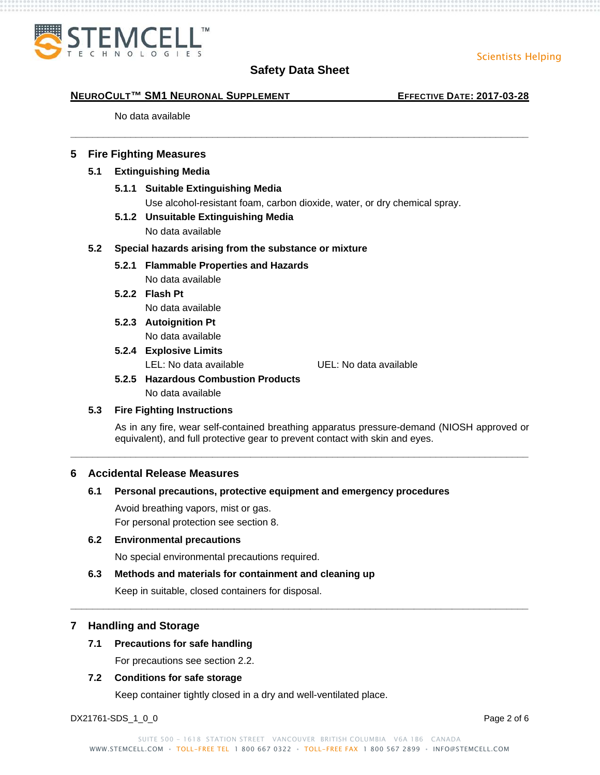

**\_\_\_\_\_\_\_\_\_\_\_\_\_\_\_\_\_\_\_\_\_\_\_\_\_\_\_\_\_\_\_\_\_\_\_\_\_\_\_\_\_\_\_\_\_\_\_\_\_\_\_\_\_\_\_\_\_\_\_\_\_\_\_\_\_\_\_\_\_\_\_\_\_\_\_\_\_\_\_\_\_\_\_\_**

#### **NEUROCULT™ SM1 NEURONAL SUPPLEMENT EFFECTIVE DATE: 2017-03-28**

No data available

#### **5 Fire Fighting Measures**

#### **5.1 Extinguishing Media**

- **5.1.1 Suitable Extinguishing Media** Use alcohol-resistant foam, carbon dioxide, water, or dry chemical spray.
- **5.1.2 Unsuitable Extinguishing Media**

No data available

#### **5.2 Special hazards arising from the substance or mixture**

**5.2.1 Flammable Properties and Hazards**

No data available

- **5.2.2 Flash Pt** No data available
- **5.2.3 Autoignition Pt** No data available

# **5.2.4 Explosive Limits**

LEL: No data available UEL: No data available

# **5.2.5 Hazardous Combustion Products** No data available

#### **5.3 Fire Fighting Instructions**

As in any fire, wear self-contained breathing apparatus pressure-demand (NIOSH approved or equivalent), and full protective gear to prevent contact with skin and eyes.

**\_\_\_\_\_\_\_\_\_\_\_\_\_\_\_\_\_\_\_\_\_\_\_\_\_\_\_\_\_\_\_\_\_\_\_\_\_\_\_\_\_\_\_\_\_\_\_\_\_\_\_\_\_\_\_\_\_\_\_\_\_\_\_\_\_\_\_\_\_\_\_\_\_\_\_\_\_\_\_\_\_\_\_\_**

#### **6 Accidental Release Measures**

#### **6.1 Personal precautions, protective equipment and emergency procedures**

Avoid breathing vapors, mist or gas. For personal protection see section 8.

#### **6.2 Environmental precautions**

No special environmental precautions required.

#### **6.3 Methods and materials for containment and cleaning up**

Keep in suitable, closed containers for disposal.

#### **7 Handling and Storage**

#### **7.1 Precautions for safe handling**

For precautions see section 2.2.

#### **7.2 Conditions for safe storage**

Keep container tightly closed in a dry and well-ventilated place.

DX21761-SDS 1 0 0 Page 2 of 6

**\_\_\_\_\_\_\_\_\_\_\_\_\_\_\_\_\_\_\_\_\_\_\_\_\_\_\_\_\_\_\_\_\_\_\_\_\_\_\_\_\_\_\_\_\_\_\_\_\_\_\_\_\_\_\_\_\_\_\_\_\_\_\_\_\_\_\_\_\_\_\_\_\_\_\_\_\_\_\_\_\_\_\_\_**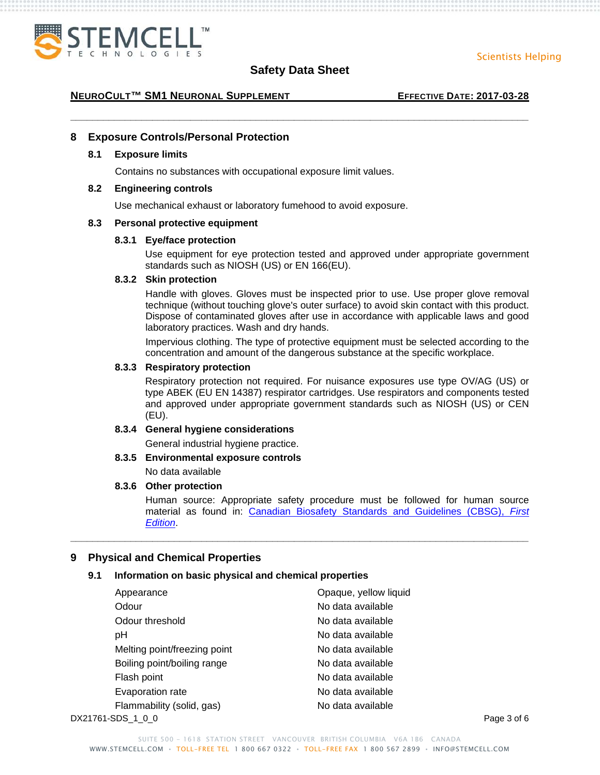



**\_\_\_\_\_\_\_\_\_\_\_\_\_\_\_\_\_\_\_\_\_\_\_\_\_\_\_\_\_\_\_\_\_\_\_\_\_\_\_\_\_\_\_\_\_\_\_\_\_\_\_\_\_\_\_\_\_\_\_\_\_\_\_\_\_\_\_\_\_\_\_\_\_\_\_\_\_\_\_\_\_\_\_\_**

#### **NEUROCULT™ SM1 NEURONAL SUPPLEMENT EFFECTIVE DATE: 2017-03-28**

### **8 Exposure Controls/Personal Protection**

#### **8.1 Exposure limits**

Contains no substances with occupational exposure limit values.

#### **8.2 Engineering controls**

Use mechanical exhaust or laboratory fumehood to avoid exposure.

#### **8.3 Personal protective equipment**

#### **8.3.1 Eye/face protection**

Use equipment for eye protection tested and approved under appropriate government standards such as NIOSH (US) or EN 166(EU).

#### **8.3.2 Skin protection**

Handle with gloves. Gloves must be inspected prior to use. Use proper glove removal technique (without touching glove's outer surface) to avoid skin contact with this product. Dispose of contaminated gloves after use in accordance with applicable laws and good laboratory practices. Wash and dry hands.

Impervious clothing. The type of protective equipment must be selected according to the concentration and amount of the dangerous substance at the specific workplace.

#### **8.3.3 Respiratory protection**

Respiratory protection not required. For nuisance exposures use type OV/AG (US) or type ABEK (EU EN 14387) respirator cartridges. Use respirators and components tested and approved under appropriate government standards such as NIOSH (US) or CEN (EU).

#### **8.3.4 General hygiene considerations**

General industrial hygiene practice.

#### **8.3.5 Environmental exposure controls**

No data available

#### **8.3.6 Other protection**

Human source: Appropriate safety procedure must be followed for human source material as found in: [Canadian Biosafety Standards and Guidelines \(CBSG\),](http://canadianbiosafetystandards.collaboration.gc.ca/cbsg-nldcb/index-eng.php?page=1) *First [Edition](http://canadianbiosafetystandards.collaboration.gc.ca/cbsg-nldcb/index-eng.php?page=1)*.

#### **9 Physical and Chemical Properties**

#### **9.1 Information on basic physical and chemical properties**

| Appearance                   | Opaque, yellow liquid |             |
|------------------------------|-----------------------|-------------|
| Odour                        | No data available     |             |
| Odour threshold              | No data available     |             |
| рH                           | No data available     |             |
| Melting point/freezing point | No data available     |             |
| Boiling point/boiling range  | No data available     |             |
| Flash point                  | No data available     |             |
| Evaporation rate             | No data available     |             |
| Flammability (solid, gas)    | No data available     |             |
| DX21761-SDS 1 0 0            |                       | Page 3 of 6 |

**\_\_\_\_\_\_\_\_\_\_\_\_\_\_\_\_\_\_\_\_\_\_\_\_\_\_\_\_\_\_\_\_\_\_\_\_\_\_\_\_\_\_\_\_\_\_\_\_\_\_\_\_\_\_\_\_\_\_\_\_\_\_\_\_\_\_\_\_\_\_\_\_\_\_\_\_\_\_\_\_\_\_\_\_**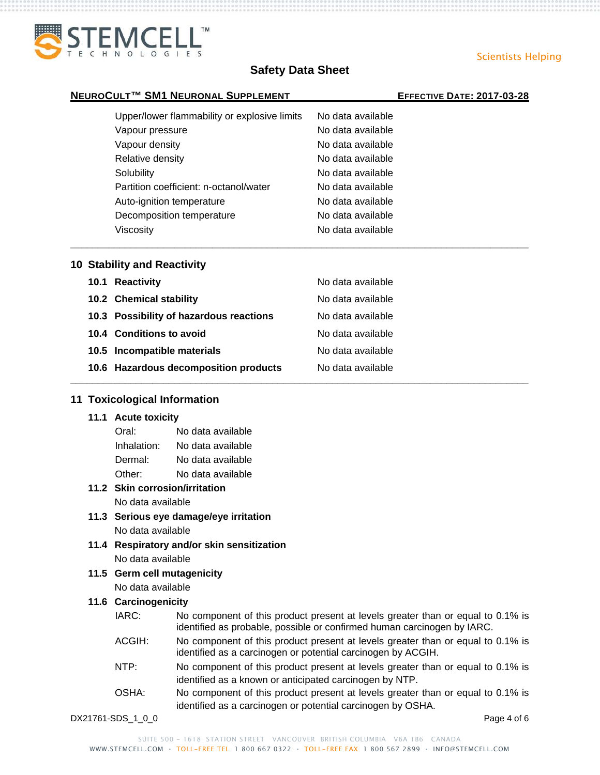

**\_\_\_\_\_\_\_\_\_\_\_\_\_\_\_\_\_\_\_\_\_\_\_\_\_\_\_\_\_\_\_\_\_\_\_\_\_\_\_\_\_\_\_\_\_\_\_\_\_\_\_\_\_\_\_\_\_\_\_\_\_\_\_\_\_\_\_\_\_\_\_\_\_\_\_\_\_\_\_\_\_\_\_\_**

**\_\_\_\_\_\_\_\_\_\_\_\_\_\_\_\_\_\_\_\_\_\_\_\_\_\_\_\_\_\_\_\_\_\_\_\_\_\_\_\_\_\_\_\_\_\_\_\_\_\_\_\_\_\_\_\_\_\_\_\_\_\_\_\_\_\_\_\_\_\_\_\_\_\_\_\_\_\_\_\_\_\_\_\_**

#### **NEUROCULT™ SM1 NEURONAL SUPPLEMENT EFFECTIVE DATE: 2017-03-28**

# Upper/lower flammability or explosive limits No data available Vapour pressure No data available Vapour density and the same of the No data available Relative density **No data available** Relative density Solubility **No data available** Partition coefficient: n-octanol/water No data available Auto-ignition temperature No data available Decomposition temperature No data available Viscosity **No data available**

#### **10 Stability and Reactivity**

| 10.1 Reactivity                         | No data available |
|-----------------------------------------|-------------------|
| 10.2 Chemical stability                 | No data available |
| 10.3 Possibility of hazardous reactions | No data available |
| 10.4 Conditions to avoid                | No data available |
| 10.5 Incompatible materials             | No data available |
| 10.6 Hazardous decomposition products   | No data available |

#### **11 Toxicological Information**

#### **11.1 Acute toxicity**

| Oral:       | No data available |
|-------------|-------------------|
| Inhalation: | No data available |
| Dermal:     | No data available |
| Other:      | No data available |

#### **11.2 Skin corrosion/irritation** No data available

- **11.3 Serious eye damage/eye irritation** No data available
- **11.4 Respiratory and/or skin sensitization** No data available
- **11.5 Germ cell mutagenicity** No data available

#### **11.6 Carcinogenicity**

- IARC: No component of this product present at levels greater than or equal to 0.1% is identified as probable, possible or confirmed human carcinogen by IARC.
- ACGIH: No component of this product present at levels greater than or equal to 0.1% is identified as a carcinogen or potential carcinogen by ACGIH.
- NTP: No component of this product present at levels greater than or equal to 0.1% is identified as a known or anticipated carcinogen by NTP.
- OSHA: No component of this product present at levels greater than or equal to 0.1% is identified as a carcinogen or potential carcinogen by OSHA.

DX21761-SDS 1 0 0 **Page 4 of 6** 

Scientists Helping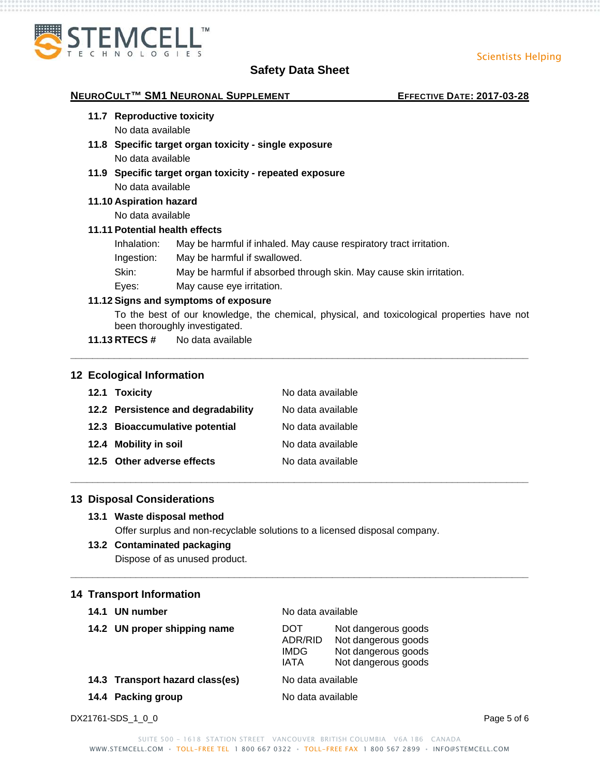Scientists Helping



# **Safety Data Sheet**

| 11.7 Reproductive toxicity     |                                                                                                                              |  |
|--------------------------------|------------------------------------------------------------------------------------------------------------------------------|--|
| No data available              |                                                                                                                              |  |
|                                | 11.8 Specific target organ toxicity - single exposure                                                                        |  |
| No data available              |                                                                                                                              |  |
|                                | 11.9 Specific target organ toxicity - repeated exposure                                                                      |  |
| No data available              |                                                                                                                              |  |
| 11.10 Aspiration hazard        |                                                                                                                              |  |
| No data available              |                                                                                                                              |  |
| 11.11 Potential health effects |                                                                                                                              |  |
| Inhalation:                    | May be harmful if inhaled. May cause respiratory tract irritation.                                                           |  |
| Ingestion:                     | May be harmful if swallowed.                                                                                                 |  |
| Skin:                          | May be harmful if absorbed through skin. May cause skin irritation.                                                          |  |
| Eyes:                          | May cause eye irritation.                                                                                                    |  |
|                                | 11.12 Signs and symptoms of exposure                                                                                         |  |
|                                | To the best of our knowledge, the chemical, physical, and toxicological properties have not<br>been thoroughly investigated. |  |
|                                | 11.13 RTECS # No data available                                                                                              |  |

| 12.1 Toxicity                      | No data available |
|------------------------------------|-------------------|
| 12.2 Persistence and degradability | No data available |
| 12.3 Bioaccumulative potential     | No data available |
| 12.4 Mobility in soil              | No data available |
| 12.5 Other adverse effects         | No data available |

## **13 Disposal Considerations**

#### **13.1 Waste disposal method**

Offer surplus and non-recyclable solutions to a licensed disposal company.

**\_\_\_\_\_\_\_\_\_\_\_\_\_\_\_\_\_\_\_\_\_\_\_\_\_\_\_\_\_\_\_\_\_\_\_\_\_\_\_\_\_\_\_\_\_\_\_\_\_\_\_\_\_\_\_\_\_\_\_\_\_\_\_\_\_\_\_\_\_\_\_\_\_\_\_\_\_\_\_\_\_\_\_\_**

**\_\_\_\_\_\_\_\_\_\_\_\_\_\_\_\_\_\_\_\_\_\_\_\_\_\_\_\_\_\_\_\_\_\_\_\_\_\_\_\_\_\_\_\_\_\_\_\_\_\_\_\_\_\_\_\_\_\_\_\_\_\_\_\_\_\_\_\_\_\_\_\_\_\_\_\_\_\_\_\_\_\_\_\_**

#### **13.2 Contaminated packaging**

Dispose of as unused product.

#### **14 Transport Information**

| 14.1 | UN number                       | No data available               |                                                                                          |
|------|---------------------------------|---------------------------------|------------------------------------------------------------------------------------------|
|      | 14.2 UN proper shipping name    | DOT<br>ADR/RID<br>IMDG.<br>IATA | Not dangerous goods<br>Not dangerous goods<br>Not dangerous goods<br>Not dangerous goods |
|      | 14.3 Transport hazard class(es) | No data available               |                                                                                          |
|      | 14.4 Packing group              | No data available               |                                                                                          |

DX21761-SDS\_1\_0\_0 Page 5 of 6